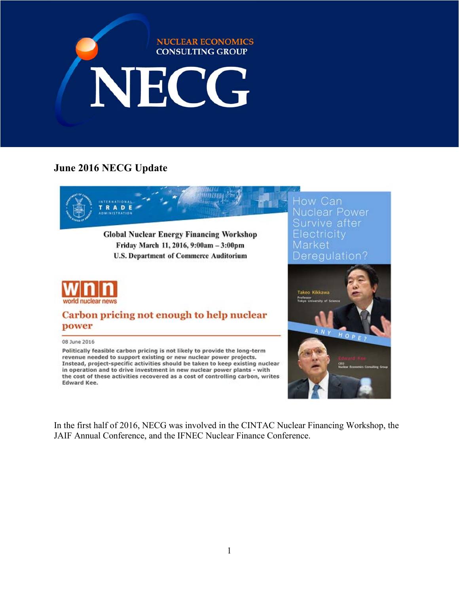

# **June 2016 NECG Update**



**Global Nuclear Energy Financing Workshop** Friday March 11, 2016, 9:00am - 3:00pm U.S. Department of Commerce Auditorium



## Carbon pricing not enough to help nuclear power

#### 08 June 2016

Politically feasible carbon pricing is not likely to provide the long-term revenue needed to support existing or new nuclear power projects. Instead, project-specific activities should be taken to keep existing nuclear in operation and to drive investment in new nuclear power plants - with the cost of these activities recovered as a cost of controlling carbon, writes Edward Kee.

Nuclear Power Survive after Electricity Market Deregulation?



In the first half of 2016, NECG was involved in the CINTAC Nuclear Financing Workshop, the JAIF Annual Conference, and the IFNEC Nuclear Finance Conference.